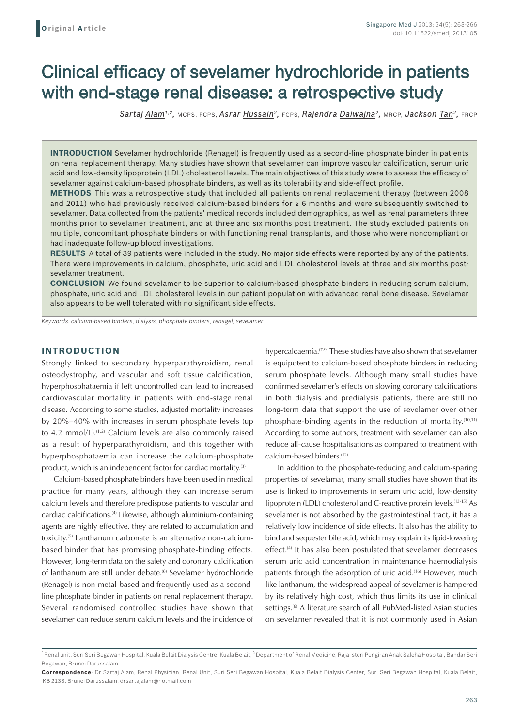# Clinical efficacy of sevelamer hydrochloride in patients with end-stage renal disease: a retrospective study

*Sartaj Alam1,2,* MCPS, FCPS, *Asrar Hussain2,* FCPS, *Rajendra Daiwajna2,* MRCP, *Jackson Tan2,* FRCP

**INTRODUCTION** Sevelamer hydrochloride (Renagel) is frequently used as a second-line phosphate binder in patients on renal replacement therapy. Many studies have shown that sevelamer can improve vascular calcification, serum uric acid and low-density lipoprotein (LDL) cholesterol levels. The main objectives of this study were to assess the efficacy of sevelamer against calcium-based phosphate binders, as well as its tolerability and side-effect profile.

**METHODS** This was a retrospective study that included all patients on renal replacement therapy (between 2008 and 2011) who had previously received calcium-based binders for ≥ 6 months and were subsequently switched to sevelamer. Data collected from the patients' medical records included demographics, as well as renal parameters three months prior to sevelamer treatment, and at three and six months post treatment. The study excluded patients on multiple, concomitant phosphate binders or with functioning renal transplants, and those who were noncompliant or had inadequate follow-up blood investigations.

**RESULTS** A total of 39 patients were included in the study. No major side effects were reported by any of the patients. There were improvements in calcium, phosphate, uric acid and LDL cholesterol levels at three and six months postsevelamer treatment.

**CONCLUSION** We found sevelamer to be superior to calcium-based phosphate binders in reducing serum calcium, phosphate, uric acid and LDL cholesterol levels in our patient population with advanced renal bone disease. Sevelamer also appears to be well tolerated with no significant side effects.

*Keywords: calcium-based binders, dialysis, phosphate binders, renagel, sevelamer*

## **INTRODUCTION**

Strongly linked to secondary hyperparathyroidism, renal osteodystrophy, and vascular and soft tissue calcification, hyperphosphataemia if left uncontrolled can lead to increased cardiovascular mortality in patients with end-stage renal disease. According to some studies, adjusted mortality increases by 20%–40% with increases in serum phosphate levels (up to 4.2 mmol/L).<sup>(1,2)</sup> Calcium levels are also commonly raised as a result of hyperparathyroidism, and this together with hyperphosphataemia can increase the calcium-phosphate product, which is an independent factor for cardiac mortality.<sup>(3)</sup>

Calcium-based phosphate binders have been used in medical practice for many years, although they can increase serum calcium levels and therefore predispose patients to vascular and cardiac calcifications.(4) Likewise, although aluminium-containing agents are highly effective, they are related to accumulation and toxicity.(5) Lanthanum carbonate is an alternative non-calciumbased binder that has promising phosphate-binding effects. However, long-term data on the safety and coronary calcification of lanthanum are still under debate.<sup>(6)</sup> Sevelamer hydrochloride (Renagel) is non-metal-based and frequently used as a secondline phosphate binder in patients on renal replacement therapy. Several randomised controlled studies have shown that sevelamer can reduce serum calcium levels and the incidence of

hypercalcaemia.(7-9) These studies have also shown that sevelamer is equipotent to calcium-based phosphate binders in reducing serum phosphate levels. Although many small studies have confirmed sevelamer's effects on slowing coronary calcifications in both dialysis and predialysis patients, there are still no long-term data that support the use of sevelamer over other phosphate-binding agents in the reduction of mortality.(10,11) According to some authors, treatment with sevelamer can also reduce all-cause hospitalisations as compared to treatment with calcium-based binders.<sup>(12)</sup>

In addition to the phosphate-reducing and calcium-sparing properties of sevelamar, many small studies have shown that its use is linked to improvements in serum uric acid, low-density lipoprotein (LDL) cholesterol and C-reactive protein levels.(13-15) As sevelamer is not absorbed by the gastrointestinal tract, it has a relatively low incidence of side effects. It also has the ability to bind and sequester bile acid, which may explain its lipid-lowering effect.<sup>(4)</sup> It has also been postulated that sevelamer decreases serum uric acid concentration in maintenance haemodialysis patients through the adsorption of uric acid.<sup>(16)</sup> However, much like lanthanum, the widespread appeal of sevelamer is hampered by its relatively high cost, which thus limits its use in clinical settings.<sup>(6)</sup> A literature search of all PubMed-listed Asian studies on sevelamer revealed that it is not commonly used in Asian

<sup>&</sup>lt;sup>1</sup> Renal unit, Suri Seri Begawan Hospital, Kuala Belait Dialysis Centre, Kuala Belait, <sup>2</sup> Department of Renal Medicine, Raja Isteri Pengiran Anak Saleha Hospital, Bandar Seri Begawan, Brunei Darussalam

**Correspondence**: Dr Sartaj Alam, Renal Physician, Renal Unit, Suri Seri Begawan Hospital, Kuala Belait Dialysis Center, Suri Seri Begawan Hospital, Kuala Belait, KB 2133, Brunei Darussalam. drsartajalam@hotmail.com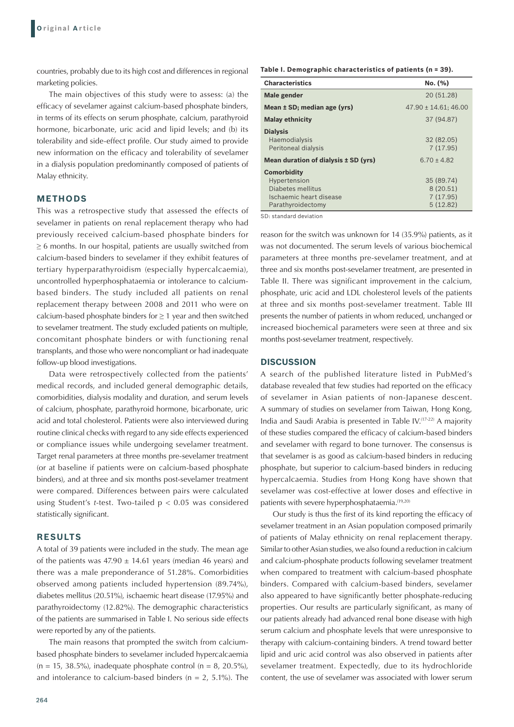countries, probably due to its high cost and differences in regional marketing policies.

The main objectives of this study were to assess: (a) the efficacy of sevelamer against calcium-based phosphate binders, in terms of its effects on serum phosphate, calcium, parathyroid hormone, bicarbonate, uric acid and lipid levels; and (b) its tolerability and side-effect profile. Our study aimed to provide new information on the efficacy and tolerability of sevelamer in a dialysis population predominantly composed of patients of Malay ethnicity.

## **METHODS**

This was a retrospective study that assessed the effects of sevelamer in patients on renal replacement therapy who had previously received calcium-based phosphate binders for ≥ 6 months. In our hospital, patients are usually switched from calcium-based binders to sevelamer if they exhibit features of tertiary hyperparathyroidism (especially hypercalcaemia), uncontrolled hyperphosphataemia or intolerance to calciumbased binders. The study included all patients on renal replacement therapy between 2008 and 2011 who were on calcium-based phosphate binders for  $\geq 1$  year and then switched to sevelamer treatment. The study excluded patients on multiple, concomitant phosphate binders or with functioning renal transplants, and those who were noncompliant or had inadequate follow-up blood investigations.

Data were retrospectively collected from the patients' medical records, and included general demographic details, comorbidities, dialysis modality and duration, and serum levels of calcium, phosphate, parathyroid hormone, bicarbonate, uric acid and total cholesterol. Patients were also interviewed during routine clinical checks with regard to any side effects experienced or compliance issues while undergoing sevelamer treatment. Target renal parameters at three months pre-sevelamer treatment (or at baseline if patients were on calcium-based phosphate binders), and at three and six months post-sevelamer treatment were compared. Differences between pairs were calculated using Student's *t*-test. Two-tailed p < 0.05 was considered statistically significant.

## **RESULTS**

A total of 39 patients were included in the study. The mean age of the patients was  $47.90 \pm 14.61$  years (median 46 years) and there was a male preponderance of 51.28%. Comorbidities observed among patients included hypertension (89.74%), diabetes mellitus (20.51%), ischaemic heart disease (17.95%) and parathyroidectomy (12.82%). The demographic characteristics of the patients are summarised in Table I. No serious side effects were reported by any of the patients.

The main reasons that prompted the switch from calciumbased phosphate binders to sevelamer included hypercalcaemia  $(n = 15, 38.5\%)$ , inadequate phosphate control  $(n = 8, 20.5\%)$ , and intolerance to calcium-based binders ( $n = 2$ , 5.1%). The

264

**Table I. Demographic characteristics of patients (n = 39).**

| <b>Characteristics</b>                                                                                  | No. (%)                                        |
|---------------------------------------------------------------------------------------------------------|------------------------------------------------|
| Male gender                                                                                             | 20 (51.28)                                     |
| Mean $±$ SD; median age (yrs)                                                                           | $47.90 \pm 14.61$ ; 46.00                      |
| <b>Malay ethnicity</b>                                                                                  | 37 (94.87)                                     |
| <b>Dialysis</b><br>Haemodialysis<br>Peritoneal dialysis                                                 | 32 (82.05)<br>7(17.95)                         |
| Mean duration of dialysis ± SD (yrs)                                                                    | $6.70 \pm 4.82$                                |
| <b>Comorbidity</b><br>Hypertension<br>Diabetes mellitus<br>Ischaemic heart disease<br>Parathyroidectomy | 35 (89.74)<br>8(20.51)<br>7(17.95)<br>5(12.82) |

SD: standard deviation

reason for the switch was unknown for 14 (35.9%) patients, as it was not documented. The serum levels of various biochemical parameters at three months pre-sevelamer treatment, and at three and six months post-sevelamer treatment, are presented in Table II. There was significant improvement in the calcium, phosphate, uric acid and LDL cholesterol levels of the patients at three and six months post-sevelamer treatment. Table III presents the number of patients in whom reduced, unchanged or increased biochemical parameters were seen at three and six months post-sevelamer treatment, respectively.

#### **DISCUSSION**

A search of the published literature listed in PubMed's database revealed that few studies had reported on the efficacy of sevelamer in Asian patients of non-Japanese descent. A summary of studies on sevelamer from Taiwan, Hong Kong, India and Saudi Arabia is presented in Table IV.(17-22) A majority of these studies compared the efficacy of calcium-based binders and sevelamer with regard to bone turnover. The consensus is that sevelamer is as good as calcium-based binders in reducing phosphate, but superior to calcium-based binders in reducing hypercalcaemia. Studies from Hong Kong have shown that sevelamer was cost-effective at lower doses and effective in patients with severe hyperphosphataemia.<sup>(19,20)</sup>

Our study is thus the first of its kind reporting the efficacy of sevelamer treatment in an Asian population composed primarily of patients of Malay ethnicity on renal replacement therapy. Similar to other Asian studies, we also found a reduction in calcium and calcium-phosphate products following sevelamer treatment when compared to treatment with calcium-based phosphate binders. Compared with calcium-based binders, sevelamer also appeared to have significantly better phosphate-reducing properties. Our results are particularly significant, as many of our patients already had advanced renal bone disease with high serum calcium and phosphate levels that were unresponsive to therapy with calcium-containing binders. A trend toward better lipid and uric acid control was also observed in patients after sevelamer treatment. Expectedly, due to its hydrochloride content, the use of sevelamer was associated with lower serum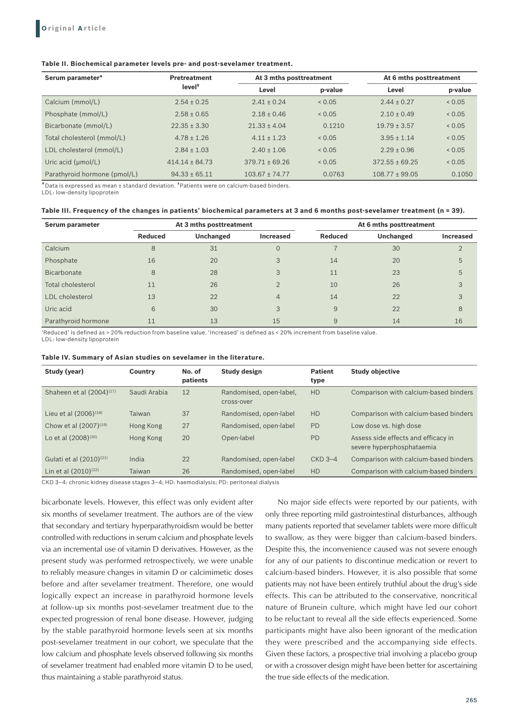#### **Table II. Biochemical parameter levels pre- and post-sevelamer treatment.**

| Serum parameter*               | <b>Pretreatment</b><br>level <sup>+</sup> | At 3 mths posttreatment |         | At 6 mths posttreatment |         |
|--------------------------------|-------------------------------------------|-------------------------|---------|-------------------------|---------|
|                                |                                           | Level                   | p-value | Level                   | p-value |
| Calcium (mmol/L)               | $2.54 \pm 0.25$                           | $2.41 \pm 0.24$         | 0.05    | $2.44 \pm 0.27$         | 0.05    |
| Phosphate (mmol/L)             | $2.58 \pm 0.65$                           | $2.18 \pm 0.46$         | 0.05    | $2.10 \pm 0.49$         | 0.05    |
| Bicarbonate (mmol/L)           | $22.35 \pm 3.30$                          | $21.33 \pm 4.04$        | 0.1210  | $19.79 \pm 3.57$        | 0.05    |
| Total cholesterol (mmol/L)     | $4.78 \pm 1.26$                           | $4.11 \pm 1.23$         | 0.05    | $3.95 \pm 1.14$         | 0.05    |
| LDL cholesterol (mmol/L)       | $2.84 \pm 1.03$                           | $2.40 + 1.06$           | 0.05    | $2.29 + 0.96$           | 0.05    |
| Uric acid $(\mu \text{mol/L})$ | $414.14 \pm 84.73$                        | $379.71 \pm 69.26$      | 0.05    | $372.55 \pm 69.25$      | 0.05    |
| Parathyroid hormone (pmol/L)   | $94.33 \pm 65.11$                         | $103.67 \pm 74.77$      | 0.0763  | $108.77 \pm 99.05$      | 0.1050  |

\*Data is expressed as mean ± standard deviation. †Patients were on calcium-based binders.

LDL: low-density lipoprotein

#### **Table III. Frequency of the changes in patients' biochemical parameters at 3 and 6 months post-sevelamer treatment (n = 39).**

| Serum parameter          |                | At 3 mths posttreatment |                  |                | At 6 mths posttreatment |           |  |
|--------------------------|----------------|-------------------------|------------------|----------------|-------------------------|-----------|--|
|                          | <b>Reduced</b> | Unchanged               | <b>Increased</b> | <b>Reduced</b> | Unchanged               | Increased |  |
| Calcium                  | 8              | 31                      | $\overline{0}$   |                | 30                      |           |  |
| Phosphate                | 16             | 20                      | 3                | 14             | 20                      | 5         |  |
| Bicarbonate              | 8              | 28                      | 3                | 11             | 23                      | 5         |  |
| <b>Total cholesterol</b> | 11             | 26                      | 2                | 10             | 26                      | 3         |  |
| LDL cholesterol          | 13             | 22                      | 4                | 14             | 22                      | 3         |  |
| Uric acid                | 6              | 30                      | 3                | 9              | 22                      | 8         |  |
| Parathyroid hormone      | 11             | 13                      | 15               | 9              | 14                      | 16        |  |

'Reduced' is defined as > 20% reduction from baseline value. 'Increased' is defined as < 20% increment from baseline value.

LDL: low-density lipoprotein

| Table IV. Summary of Asian studies on sevelamer in the literature. |  |  |  |
|--------------------------------------------------------------------|--|--|--|
|--------------------------------------------------------------------|--|--|--|

| Study (year)                         | Country      | No. of<br>patients | Study design                          | <b>Patient</b><br>type | <b>Study objective</b>                                           |
|--------------------------------------|--------------|--------------------|---------------------------------------|------------------------|------------------------------------------------------------------|
| Shaheen et al (2004) <sup>(17)</sup> | Saudi Arabia | 12                 | Randomised, open-label,<br>cross-over | <b>HD</b>              | Comparison with calcium-based binders                            |
| Lieu et al $(2006)^{(18)}$           | Taiwan       | 37                 | Randomised, open-label                | <b>HD</b>              | Comparison with calcium-based binders                            |
| Chow et al $(2007)^{(19)}$           | Hong Kong    | 27                 | Randomised, open-label                | <b>PD</b>              | Low dose vs. high dose                                           |
| Lo et al (2008) <sup>(20)</sup>      | Hong Kong    | 20                 | Open-label                            | <b>PD</b>              | Assess side effects and efficacy in<br>severe hyperphosphataemia |
| Gulati et al (2010) <sup>(21)</sup>  | India        | 22                 | Randomised, open-label                | $CKD$ 3-4              | Comparison with calcium-based binders                            |
| Lin et al $(2010)^{(22)}$            | Taiwan       | 26                 | Randomised, open-label                | <b>HD</b>              | Comparison with calcium-based binders                            |

CKD 3–4: chronic kidney disease stages 3–4; HD: haemodialysis; PD: peritoneal dialysis

bicarbonate levels. However, this effect was only evident after six months of sevelamer treatment. The authors are of the view that secondary and tertiary hyperparathyroidism would be better controlled with reductions in serum calcium and phosphate levels via an incremental use of vitamin D derivatives. However, as the present study was performed retrospectively, we were unable to reliably measure changes in vitamin D or calcimimetic doses before and after sevelamer treatment. Therefore, one would logically expect an increase in parathyroid hormone levels at follow-up six months post-sevelamer treatment due to the expected progression of renal bone disease. However, judging by the stable parathyroid hormone levels seen at six months post-sevelamer treatment in our cohort, we speculate that the low calcium and phosphate levels observed following six months of sevelamer treatment had enabled more vitamin D to be used, thus maintaining a stable parathyroid status.

No major side effects were reported by our patients, with only three reporting mild gastrointestinal disturbances, although many patients reported that sevelamer tablets were more difficult to swallow, as they were bigger than calcium-based binders. Despite this, the inconvenience caused was not severe enough for any of our patients to discontinue medication or revert to calcium-based binders. However, it is also possible that some patients may not have been entirely truthful about the drug's side effects. This can be attributed to the conservative, noncritical nature of Brunein culture, which might have led our cohort to be reluctant to reveal all the side effects experienced. Some participants might have also been ignorant of the medication they were prescribed and the accompanying side effects. Given these factors, a prospective trial involving a placebo group or with a crossover design might have been better for ascertaining the true side effects of the medication.